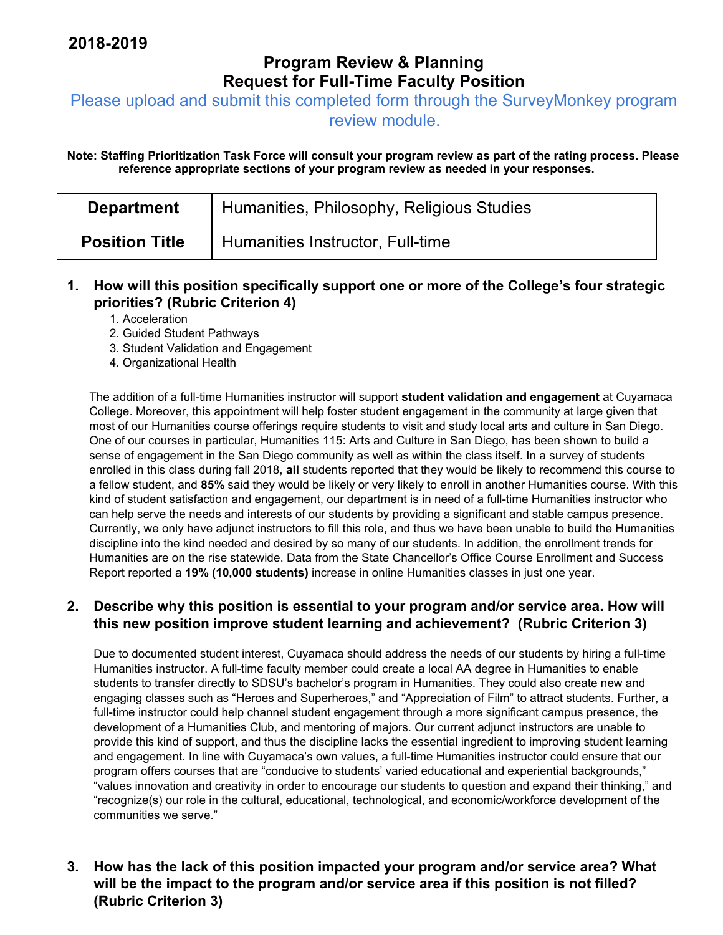# **Program Review & Planning Request for Full-Time Faculty Position**

Please upload and submit this completed form through the SurveyMonkey program

review module.

**Note: Staffing Prioritization Task Force will consult your program review as part of the rating process. Please reference appropriate sections of your program review as needed in your responses.** 

| <b>Department</b>     | Humanities, Philosophy, Religious Studies |
|-----------------------|-------------------------------------------|
| <b>Position Title</b> | Humanities Instructor, Full-time          |

#### **1. How will this position specifically support one or more of the College's four strategic priorities? (Rubric Criterion 4)**

1. Acceleration

- 2. Guided Student Pathways
- 3. Student Validation and Engagement
- 4. Organizational Health

The addition of a full-time Humanities instructor will support **student validation and engagement** at Cuyamaca College. Moreover, this appointment will help foster student engagement in the community at large given that most of our Humanities course offerings require students to visit and study local arts and culture in San Diego. One of our courses in particular, Humanities 115: Arts and Culture in San Diego, has been shown to build a sense of engagement in the San Diego community as well as within the class itself. In a survey of students enrolled in this class during fall 2018, **all** students reported that they would be likely to recommend this course to a fellow student, and **85%** said they would be likely or very likely to enroll in another Humanities course. With this kind of student satisfaction and engagement, our department is in need of a full-time Humanities instructor who can help serve the needs and interests of our students by providing a significant and stable campus presence. Currently, we only have adjunct instructors to fill this role, and thus we have been unable to build the Humanities discipline into the kind needed and desired by so many of our students. In addition, the enrollment trends for Humanities are on the rise statewide. Data from the State Chancellor's Office Course Enrollment and Success Report reported a **19% (10,000 students)** increase in online Humanities classes in just one year.

#### **2. Describe why this position is essential to your program and/or service area. How will this new position improve student learning and achievement? (Rubric Criterion 3)**

Due to documented student interest, Cuyamaca should address the needs of our students by hiring a full-time Humanities instructor. A full-time faculty member could create a local AA degree in Humanities to enable students to transfer directly to SDSU's bachelor's program in Humanities. They could also create new and engaging classes such as "Heroes and Superheroes," and "Appreciation of Film" to attract students. Further, a full-time instructor could help channel student engagement through a more significant campus presence, the development of a Humanities Club, and mentoring of majors. Our current adjunct instructors are unable to provide this kind of support, and thus the discipline lacks the essential ingredient to improving student learning and engagement. In line with Cuyamaca's own values, a full-time Humanities instructor could ensure that our program offers courses that are "conducive to students' varied educational and experiential backgrounds," "values innovation and creativity in order to encourage our students to question and expand their thinking," and "recognize(s) our role in the cultural, educational, technological, and economic/workforce development of the communities we serve."

**3. How has the lack of this position impacted your program and/or service area? What will be the impact to the program and/or service area if this position is not filled? (Rubric Criterion 3)**